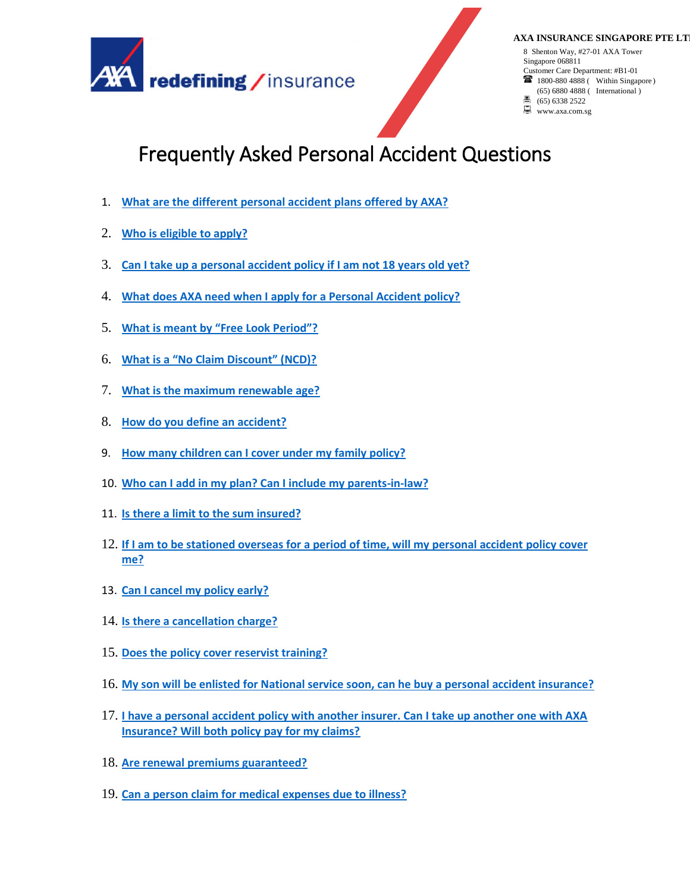

#### **AXA INSURANCE SINGAPORE PTE LT**

8 Shenton Way, #27-01 AXA Tower Singapore 068811 Customer Care Department: #B1-01 **1800-880 4888 (** Within Singapore) (65) 6880 4888 ( International )

- (65) 6338 2522
- www.axa.com.sg

# Frequently Asked Personal Accident Questions

- 1. **[What are the different personal accident plans offered by AXA?](#page-1-0)**
- 2. **[Who is eligible to apply?](#page-2-0)**
- 3. **[Can I take up a personal accident policy if I am not 18 years old yet?](#page-2-1)**
- 4. **[What does AXA need when I apply for a Personal Accident policy?](#page-2-2)**
- 5. **[What is meant by "Free Look Period"?](#page-2-3)**
- 6. **Wha[t is a "No Claim Discount" \(NCD\)?](#page-2-4)**
- 7. **[What is the maximum renewable age?](#page-2-5)**
- 8. **[How do you define an accident?](#page-3-0)**
- 9. **[How many children can I cover under my family policy?](#page-2-6)**
- 10. **[Who can I add in my plan? Can I include my parents-in-law?](#page-3-1)**
- 11. **[Is there a limit to the sum insured?](#page-3-2)**
- 12. **[If I am to be stationed overseas for a period of time, will my personal accident policy cover](#page-3-3)  [me?](#page-3-3)**
- 13. **[Can I cancel my policy early?](#page-3-4)**
- 14. **[Is there a cancellation charge?](#page-3-5)**
- 15. **[Does the policy cover reservist training?](#page-3-6)**
- 16. **[My son will be enlisted for National service soon, can he buy a personal accident insurance?](#page-3-7)**
- 17. **[I have a personal accident policy with another insurer. Can I take up another one with AXA](#page-3-8)  [Insurance? Will both policy pay for my claims?](#page-3-8)**
- 18. **[Are renewal premiums guaranteed?](#page-4-0)**
- 19. **[Can a person claim for medical expenses due to illness?](#page-4-1)**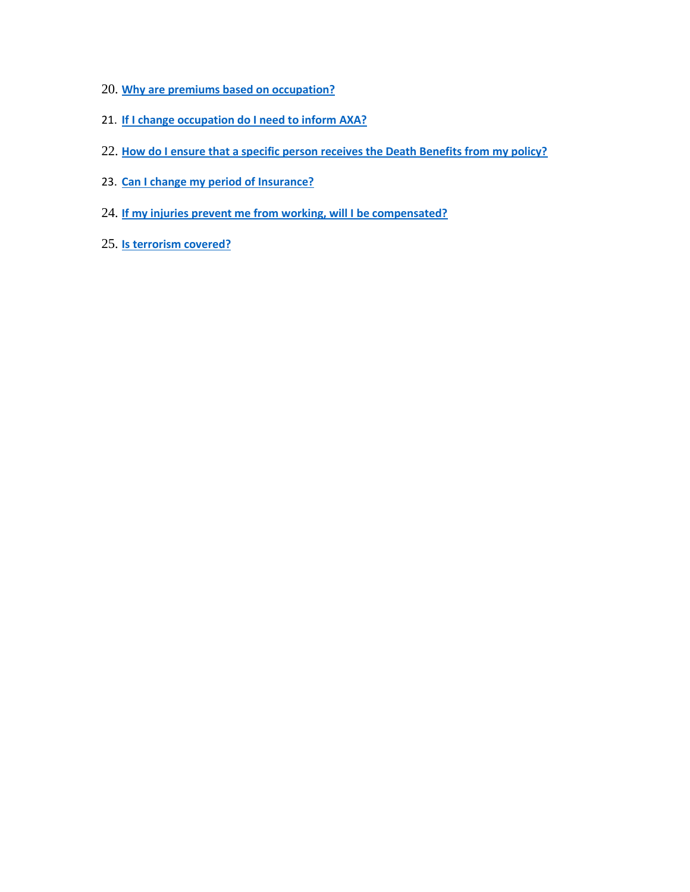- 20. **[Why are premiums based on occupation?](#page-4-2)**
- 21. **[If I change occupation do I need to inform AXA?](#page-4-3)**
- 22. **[How do I ensure that a specific person receives the Death Benefits from my policy?](#page-4-3)**
- 23. **[Can I change my period of Insurance?](#page-4-4)**
- 24. **[If my injuries prevent me from working, will I be compensated?](#page-4-5)**
- <span id="page-1-0"></span>25. **[Is terrorism covered?](#page-4-6)**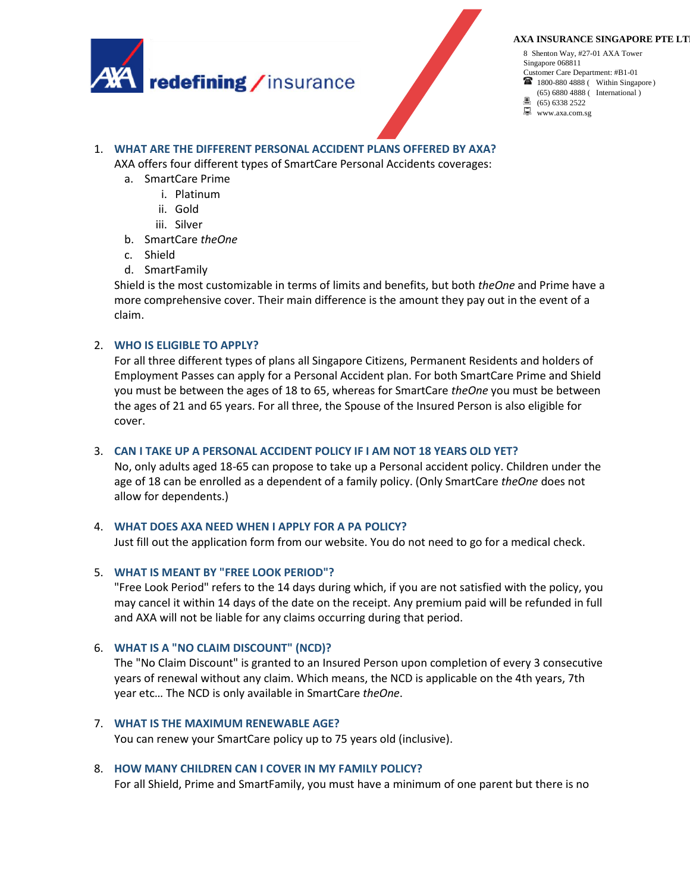

**AXA INSURANCE SINGAPORE PTE LT** 

8 Shenton Way, #27-01 AXA Tower Singapore 068811 Customer Care Department: #B1-01 **1800-880 4888 (** Within Singapore) (65) 6880 4888 ( International )

(65) 6338 2522 www.axa.com.sg鳯.

# 1. **WHAT ARE THE DIFFERENT PERSONAL ACCIDENT PLANS OFFERED BY AXA?**

AXA offers four different types of SmartCare Personal Accidents coverages:

- a. SmartCare Prime
	- i. Platinum
	- ii. Gold
	- iii. Silver
- b. SmartCare *theOne*
- c. Shield
- d. SmartFamily

Shield is the most customizable in terms of limits and benefits, but both *theOne* and Prime have a more comprehensive cover. Their main difference is the amount they pay out in the event of a claim.

# <span id="page-2-0"></span>2. **WHO IS ELIGIBLE TO APPLY?**

For all three different types of plans all Singapore Citizens, Permanent Residents and holders of Employment Passes can apply for a Personal Accident plan. For both SmartCare Prime and Shield you must be between the ages of 18 to 65, whereas for SmartCare *theOne* you must be between the ages of 21 and 65 years. For all three, the Spouse of the Insured Person is also eligible for cover.

## <span id="page-2-1"></span>3. **CAN I TAKE UP A PERSONAL ACCIDENT POLICY IF I AM NOT 18 YEARS OLD YET?**

No, only adults aged 18-65 can propose to take up a Personal accident policy. Children under the age of 18 can be enrolled as a dependent of a family policy. (Only SmartCare *theOne* does not allow for dependents.)

#### <span id="page-2-2"></span>4. **WHAT DOES AXA NEED WHEN I APPLY FOR A PA POLICY?**

Just fill out the application form from our website. You do not need to go for a medical check.

#### <span id="page-2-3"></span>5. **WHAT IS MEANT BY "FREE LOOK PERIOD"?**

"Free Look Period" refers to the 14 days during which, if you are not satisfied with the policy, you may cancel it within 14 days of the date on the receipt. Any premium paid will be refunded in full and AXA will not be liable for any claims occurring during that period.

#### <span id="page-2-4"></span>6. **WHAT IS A "NO CLAIM DISCOUNT" (NCD)?**

The "No Claim Discount" is granted to an Insured Person upon completion of every 3 consecutive years of renewal without any claim. Which means, the NCD is applicable on the 4th years, 7th year etc… The NCD is only available in SmartCare *theOne*.

#### <span id="page-2-5"></span>7. **WHAT IS THE MAXIMUM RENEWABLE AGE?**

You can renew your SmartCare policy up to 75 years old (inclusive).

# <span id="page-2-6"></span>8. **HOW MANY CHILDREN CAN I COVER IN MY FAMILY POLICY?**

For all Shield, Prime and SmartFamily, you must have a minimum of one parent but there is no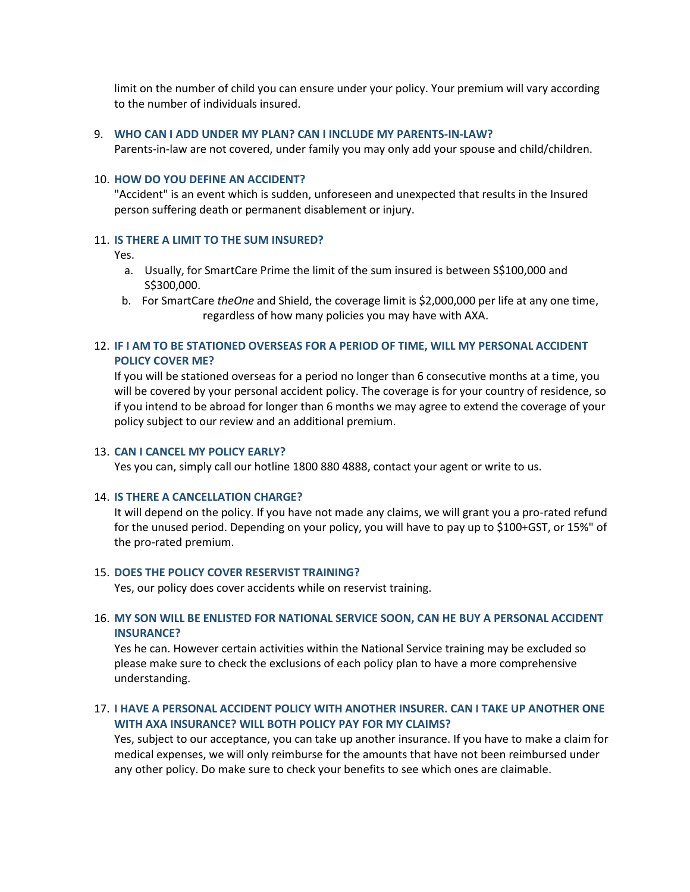limit on the number of child you can ensure under your policy. Your premium will vary according to the number of individuals insured.

#### <span id="page-3-1"></span>9. **WHO CAN I ADD UNDER MY PLAN? CAN I INCLUDE MY PARENTS-IN-LAW?**

Parents-in-law are not covered, under family you may only add your spouse and child/children.

# <span id="page-3-0"></span>10. **HOW DO YOU DEFINE AN ACCIDENT?**

"Accident" is an event which is sudden, unforeseen and unexpected that results in the Insured person suffering death or permanent disablement or injury.

#### <span id="page-3-2"></span>11. **IS THERE A LIMIT TO THE SUM INSURED?**

Yes.

- a. Usually, for SmartCare Prime the limit of the sum insured is between S\$100,000 and S\$300,000.
- b. For SmartCare *theOne* and Shield, the coverage limit is \$2,000,000 per life at any one time, regardless of how many policies you may have with AXA.

# <span id="page-3-3"></span>12. **IF I AM TO BE STATIONED OVERSEAS FOR A PERIOD OF TIME, WILL MY PERSONAL ACCIDENT POLICY COVER ME?**

If you will be stationed overseas for a period no longer than 6 consecutive months at a time, you will be covered by your personal accident policy. The coverage is for your country of residence, so if you intend to be abroad for longer than 6 months we may agree to extend the coverage of your policy subject to our review and an additional premium.

#### <span id="page-3-4"></span>13. **CAN I CANCEL MY POLICY EARLY?**

Yes you can, simply call our hotline 1800 880 4888, contact your agent or write to us.

#### <span id="page-3-5"></span>14. **IS THERE A CANCELLATION CHARGE?**

It will depend on the policy. If you have not made any claims, we will grant you a pro-rated refund for the unused period. Depending on your policy, you will have to pay up to \$100+GST, or 15%" of the pro-rated premium.

#### <span id="page-3-6"></span>15. **DOES THE POLICY COVER RESERVIST TRAINING?**

Yes, our policy does cover accidents while on reservist training.

# <span id="page-3-7"></span>16. **MY SON WILL BE ENLISTED FOR NATIONAL SERVICE SOON, CAN HE BUY A PERSONAL ACCIDENT INSURANCE?**

Yes he can. However certain activities within the National Service training may be excluded so please make sure to check the exclusions of each policy plan to have a more comprehensive understanding.

# <span id="page-3-8"></span>17. **I HAVE A PERSONAL ACCIDENT POLICY WITH ANOTHER INSURER. CAN I TAKE UP ANOTHER ONE WITH AXA INSURANCE? WILL BOTH POLICY PAY FOR MY CLAIMS?**

Yes, subject to our acceptance, you can take up another insurance. If you have to make a claim for medical expenses, we will only reimburse for the amounts that have not been reimbursed under any other policy. Do make sure to check your benefits to see which ones are claimable.